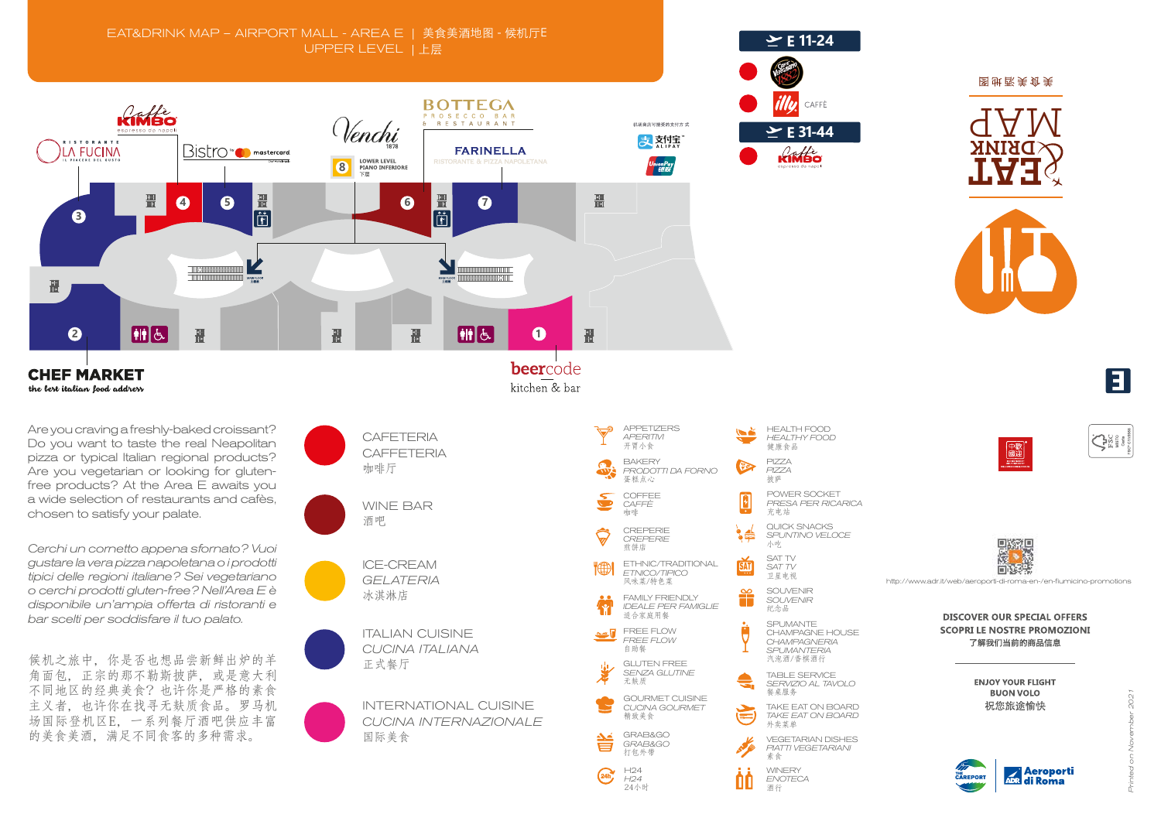*Printed on November 2021* 202















http://www.adr.it/web/aeroporti-di-roma-en-/en-fiumicino-promotions

**DISCOVER OUR SPECIAL OFFERS SCOPRI LE NOSTRE PROMOZIONI** 了解我们当前的商品信息

> **ENJOY YOUR FLIGHT BUON VOLO** 祝您旅途愉快